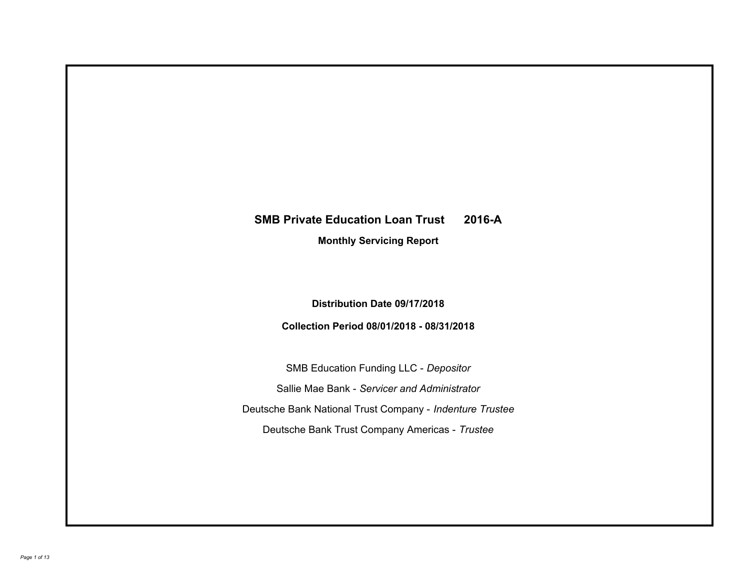# **SMB Private Education Loan Trust 2016-A**

**Monthly Servicing Report**

**Distribution Date 09/17/2018**

**Collection Period 08/01/2018 - 08/31/2018**

SMB Education Funding LLC - *Depositor* Sallie Mae Bank - *Servicer and Administrator* Deutsche Bank National Trust Company - *Indenture Trustee* Deutsche Bank Trust Company Americas - *Trustee*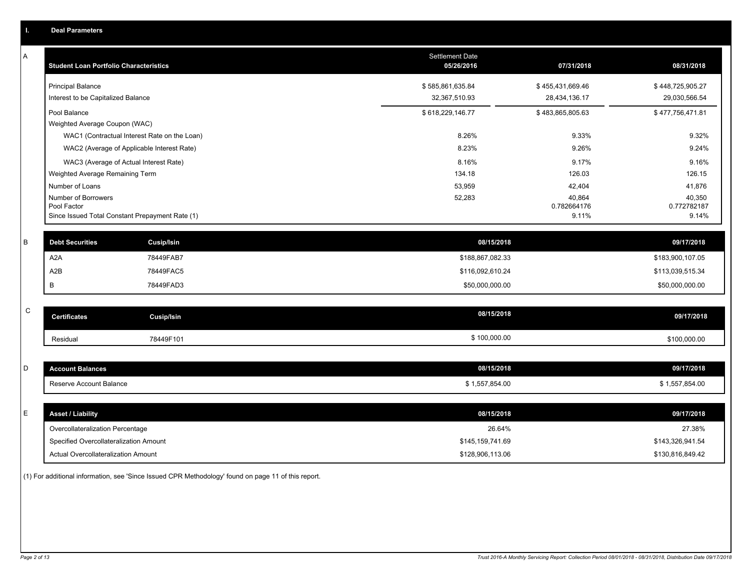| ı.          | <b>Deal Parameters</b>                                                    |                                   |                                   |                                   |
|-------------|---------------------------------------------------------------------------|-----------------------------------|-----------------------------------|-----------------------------------|
| A           | <b>Student Loan Portfolio Characteristics</b>                             | Settlement Date<br>05/26/2016     | 07/31/2018                        | 08/31/2018                        |
|             | <b>Principal Balance</b><br>Interest to be Capitalized Balance            | \$585,861,635.84<br>32,367,510.93 | \$455,431,669.46<br>28,434,136.17 | \$448,725,905.27<br>29,030,566.54 |
|             | Pool Balance<br>Weighted Average Coupon (WAC)                             | \$618,229,146.77                  | \$483,865,805.63                  | \$477,756,471.81                  |
|             | WAC1 (Contractual Interest Rate on the Loan)                              | 8.26%                             | 9.33%                             | 9.32%                             |
|             | WAC2 (Average of Applicable Interest Rate)                                | 8.23%                             | 9.26%                             | 9.24%                             |
|             | WAC3 (Average of Actual Interest Rate)<br>Weighted Average Remaining Term | 8.16%<br>134.18                   | 9.17%<br>126.03                   | 9.16%<br>126.15                   |
|             | Number of Loans                                                           | 53,959                            | 42,404                            | 41,876                            |
|             | Number of Borrowers<br>Pool Factor                                        | 52,283                            | 40,864<br>0.782664176             | 40,350<br>0.772782187             |
|             | Since Issued Total Constant Prepayment Rate (1)                           |                                   | 9.11%                             | 9.14%                             |
| В           | <b>Debt Securities</b><br><b>Cusip/Isin</b>                               | 08/15/2018                        |                                   | 09/17/2018                        |
|             | A2A<br>78449FAB7                                                          | \$188,867,082.33                  |                                   | \$183,900,107.05                  |
|             | A2B<br>78449FAC5                                                          | \$116,092,610.24                  |                                   | \$113,039,515.34                  |
|             | B<br>78449FAD3                                                            | \$50,000,000.00                   |                                   | \$50,000,000.00                   |
| $\mathbf C$ | <b>Certificates</b><br><b>Cusip/Isin</b>                                  | 08/15/2018                        |                                   | 09/17/2018                        |
|             | 78449F101<br>Residual                                                     | \$100,000.00                      |                                   | \$100,000.00                      |
|             |                                                                           |                                   |                                   |                                   |
| D           | <b>Account Balances</b>                                                   | 08/15/2018                        |                                   | 09/17/2018                        |
|             | Reserve Account Balance                                                   | \$1,557,854.00                    |                                   | \$1,557,854.00                    |
| E           | <b>Asset / Liability</b>                                                  | 08/15/2018                        |                                   | 09/17/2018                        |
|             | Overcollateralization Percentage                                          | 26.64%                            |                                   | 27.38%                            |
|             | Specified Overcollateralization Amount                                    | \$145,159,741.69                  |                                   | \$143,326,941.54                  |
|             | Actual Overcollateralization Amount                                       | \$128,906,113.06                  |                                   | \$130,816,849.42                  |
|             |                                                                           |                                   |                                   |                                   |

(1) For additional information, see 'Since Issued CPR Methodology' found on page 11 of this report.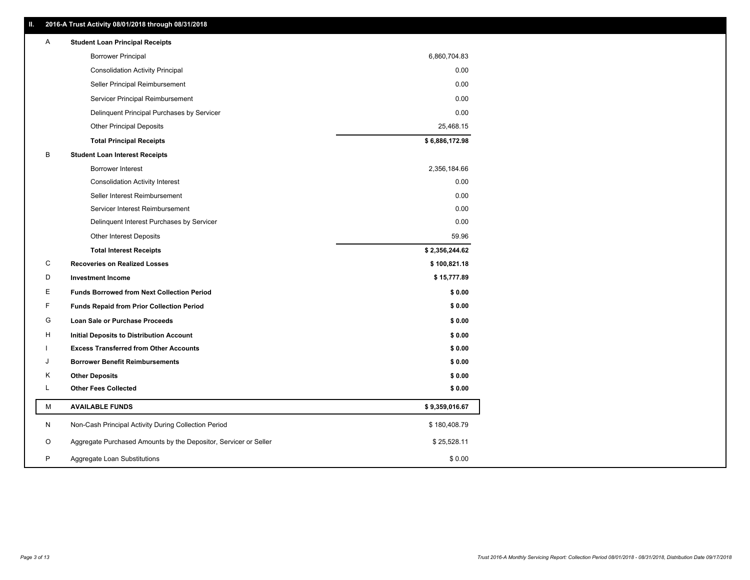| Ш. |   | 2016-A Trust Activity 08/01/2018 through 08/31/2018              |                |
|----|---|------------------------------------------------------------------|----------------|
|    | A | <b>Student Loan Principal Receipts</b>                           |                |
|    |   | <b>Borrower Principal</b>                                        | 6,860,704.83   |
|    |   | <b>Consolidation Activity Principal</b>                          | 0.00           |
|    |   | Seller Principal Reimbursement                                   | 0.00           |
|    |   | Servicer Principal Reimbursement                                 | 0.00           |
|    |   | Delinquent Principal Purchases by Servicer                       | 0.00           |
|    |   | <b>Other Principal Deposits</b>                                  | 25,468.15      |
|    |   | <b>Total Principal Receipts</b>                                  | \$6,886,172.98 |
|    | в | <b>Student Loan Interest Receipts</b>                            |                |
|    |   | Borrower Interest                                                | 2,356,184.66   |
|    |   | <b>Consolidation Activity Interest</b>                           | 0.00           |
|    |   | Seller Interest Reimbursement                                    | 0.00           |
|    |   | Servicer Interest Reimbursement                                  | 0.00           |
|    |   | Delinquent Interest Purchases by Servicer                        | 0.00           |
|    |   | <b>Other Interest Deposits</b>                                   | 59.96          |
|    |   | <b>Total Interest Receipts</b>                                   | \$2,356,244.62 |
|    | C | <b>Recoveries on Realized Losses</b>                             | \$100,821.18   |
|    | D | <b>Investment Income</b>                                         | \$15,777.89    |
|    | Е | <b>Funds Borrowed from Next Collection Period</b>                | \$0.00         |
|    | F | <b>Funds Repaid from Prior Collection Period</b>                 | \$0.00         |
|    | G | Loan Sale or Purchase Proceeds                                   | \$0.00         |
|    | н | Initial Deposits to Distribution Account                         | \$0.00         |
|    |   | <b>Excess Transferred from Other Accounts</b>                    | \$0.00         |
|    | J | <b>Borrower Benefit Reimbursements</b>                           | \$0.00         |
|    | Κ | <b>Other Deposits</b>                                            | \$0.00         |
|    | Г | <b>Other Fees Collected</b>                                      | \$0.00         |
|    | М | <b>AVAILABLE FUNDS</b>                                           | \$9,359,016.67 |
|    | N | Non-Cash Principal Activity During Collection Period             | \$180,408.79   |
|    | O | Aggregate Purchased Amounts by the Depositor, Servicer or Seller | \$25,528.11    |
|    | P | Aggregate Loan Substitutions                                     | \$0.00         |
|    |   |                                                                  |                |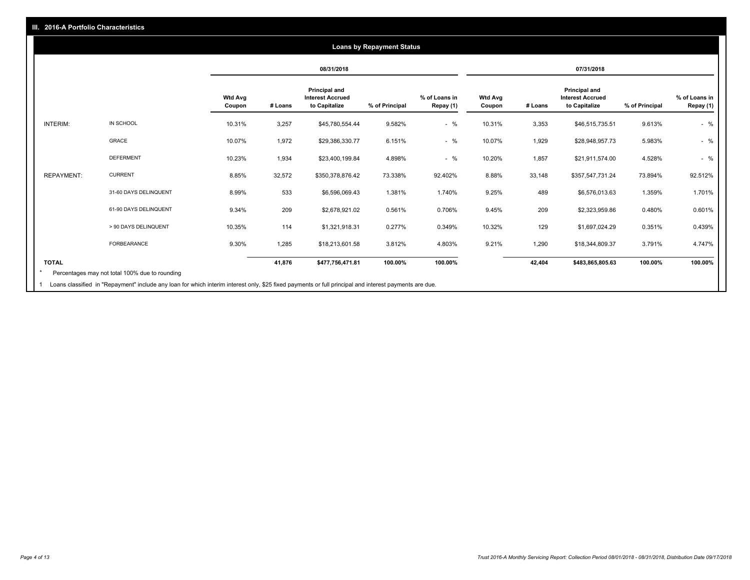#### **08/31/2018 07/31/2018 Wtd Avg Coupon # Loans Principal and Interest Accrued to Capitalize % of Principal % of Loans in Repay (1) Wtd Avg Coupon # Loans Principal and Interest Accrued to Capitalize % of Principal % of Loans in Repay (1)**  INTERIM: IN SCHOOL 10.31% 3,257 \$45,780,554.44 9.582% - % 10.31% 3,353 \$46,515,735.51 9.613% - % GRACE 10.07% 1,972 \$29,386,330.77 6.151% - % 10.07% 1,929 \$28,948,957.73 5.983% - % DEFERMENT 10.23% 1,934 \$23,400,199.84 4.898% - % 10.20% 1,857 \$21,911,574.00 4.528% - % REPAYMENT: CURRENT 8.85% 32,572 \$350,378,876.42 73.338% 92.402% 8.88% 33,148 \$357,547,731.24 73.894% 92.512% 31-60 DAYS DELINQUENT 8.99% 533 \$6,596,069.43 1.381% 1.740% 9.25% 489 \$6,576,013.63 1.359% 1.701% 61-90 DAYS DELINQUENT 9.34% 209 \$2,678,921.02 0.561% 0.706% 9.45% 209 \$2,323,959.86 0.480% 0.601% > 90 DAYS DELINQUENT 10.35% 114 \$1,321,918.31 0.277% 0.349% 10.32% 129 \$1,697,024.29 0.351% 0.439% FORBEARANCE 9.30% 1,285 \$18,213,601.58 3.812% 4.803% 9.21% 1,290 \$18,344,809.37 3.791% 4.747% **TOTAL 41,876 \$477,756,471.81 100.00% 100.00% 42,404 \$483,865,805.63 100.00% 100.00% Loans by Repayment Status** Percentages may not total 100% due to rounding \*

Loans classified in "Repayment" include any loan for which interim interest only, \$25 fixed payments or full principal and interest payments are due. 1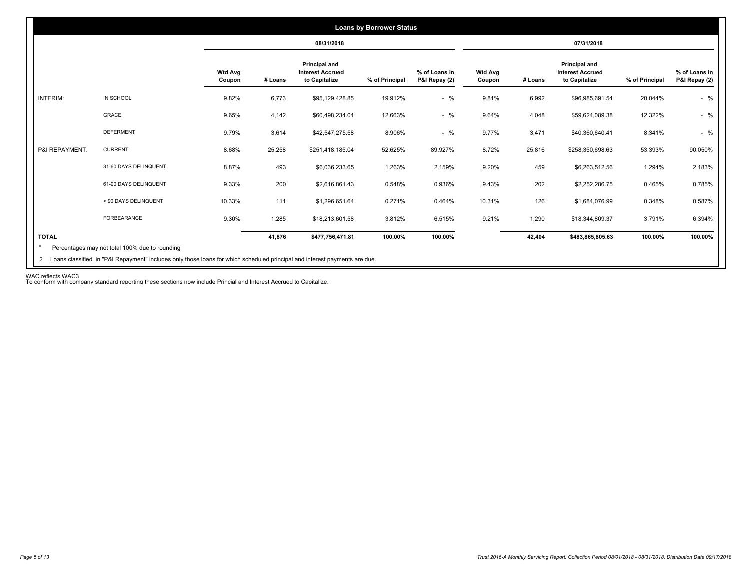|                 |                       |                          |         | 08/31/2018                                                |                |                                |                          |         | 07/31/2018                                                |                |                                |
|-----------------|-----------------------|--------------------------|---------|-----------------------------------------------------------|----------------|--------------------------------|--------------------------|---------|-----------------------------------------------------------|----------------|--------------------------------|
|                 |                       | <b>Wtd Avg</b><br>Coupon | # Loans | Principal and<br><b>Interest Accrued</b><br>to Capitalize | % of Principal | % of Loans in<br>P&I Repay (2) | <b>Wtd Avg</b><br>Coupon | # Loans | Principal and<br><b>Interest Accrued</b><br>to Capitalize | % of Principal | % of Loans in<br>P&I Repay (2) |
| <b>INTERIM:</b> | IN SCHOOL             | 9.82%                    | 6,773   | \$95,129,428.85                                           | 19.912%        | $-$ %                          | 9.81%                    | 6,992   | \$96,985,691.54                                           | 20.044%        | $-$ %                          |
|                 | GRACE                 | 9.65%                    | 4,142   | \$60,498,234.04                                           | 12.663%        | $-$ %                          | 9.64%                    | 4,048   | \$59,624,089.38                                           | 12.322%        | $-$ %                          |
|                 | <b>DEFERMENT</b>      | 9.79%                    | 3,614   | \$42,547,275.58                                           | 8.906%         | $-$ %                          | 9.77%                    | 3,471   | \$40,360,640.41                                           | 8.341%         | $-$ %                          |
| P&I REPAYMENT:  | <b>CURRENT</b>        | 8.68%                    | 25,258  | \$251,418,185.04                                          | 52.625%        | 89.927%                        | 8.72%                    | 25,816  | \$258,350,698.63                                          | 53.393%        | 90.050%                        |
|                 | 31-60 DAYS DELINQUENT | 8.87%                    | 493     | \$6,036,233.65                                            | 1.263%         | 2.159%                         | 9.20%                    | 459     | \$6,263,512.56                                            | 1.294%         | 2.183%                         |
|                 | 61-90 DAYS DELINQUENT | 9.33%                    | 200     | \$2,616,861.43                                            | 0.548%         | 0.936%                         | 9.43%                    | 202     | \$2,252,286.75                                            | 0.465%         | 0.785%                         |
|                 | > 90 DAYS DELINQUENT  | 10.33%                   | 111     | \$1,296,651.64                                            | 0.271%         | 0.464%                         | 10.31%                   | 126     | \$1,684,076.99                                            | 0.348%         | 0.587%                         |
|                 | FORBEARANCE           | 9.30%                    | 1,285   | \$18,213,601.58                                           | 3.812%         | 6.515%                         | 9.21%                    | 1,290   | \$18,344,809.37                                           | 3.791%         | 6.394%                         |
| <b>TOTAL</b>    |                       |                          | 41,876  | \$477,756,471.81                                          | 100.00%        | 100.00%                        |                          | 42,404  | \$483,865,805.63                                          | 100.00%        | 100.00%                        |

WAC reflects WAC3 To conform with company standard reporting these sections now include Princial and Interest Accrued to Capitalize.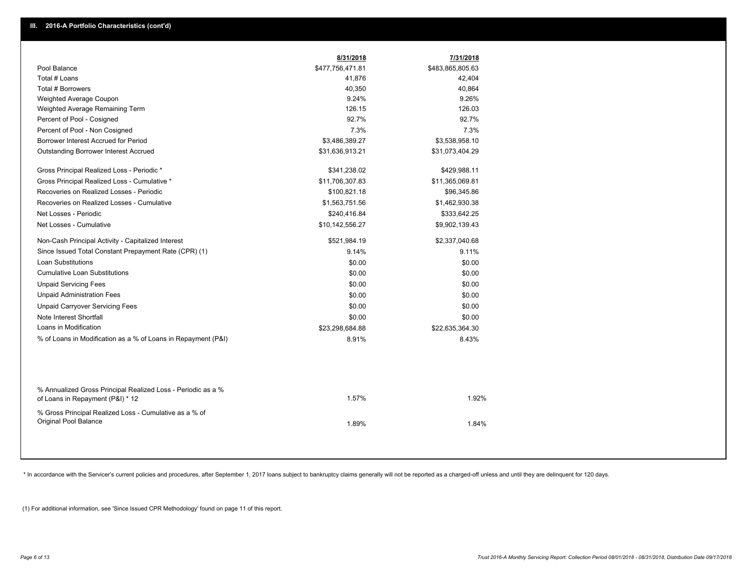|                                                                                                  | 8/31/2018        | 7/31/2018        |
|--------------------------------------------------------------------------------------------------|------------------|------------------|
| Pool Balance                                                                                     | \$477,756,471.81 | \$483,865,805.63 |
| Total # Loans                                                                                    | 41,876           | 42,404           |
| Total # Borrowers                                                                                | 40,350           | 40,864           |
| Weighted Average Coupon                                                                          | 9.24%            | 9.26%            |
| Weighted Average Remaining Term                                                                  | 126.15           | 126.03           |
| Percent of Pool - Cosigned                                                                       | 92.7%            | 92.7%            |
| Percent of Pool - Non Cosigned                                                                   | 7.3%             | 7.3%             |
| Borrower Interest Accrued for Period                                                             | \$3,486,389.27   | \$3,538,958.10   |
| Outstanding Borrower Interest Accrued                                                            | \$31,636,913.21  | \$31,073,404.29  |
| Gross Principal Realized Loss - Periodic *                                                       | \$341,238.02     | \$429,988.11     |
| Gross Principal Realized Loss - Cumulative *                                                     | \$11,706,307.83  | \$11,365,069.81  |
| Recoveries on Realized Losses - Periodic                                                         | \$100,821.18     | \$96,345.86      |
| Recoveries on Realized Losses - Cumulative                                                       | \$1,563,751.56   | \$1,462,930.38   |
| Net Losses - Periodic                                                                            | \$240,416.84     | \$333,642.25     |
| Net Losses - Cumulative                                                                          | \$10,142,556.27  | \$9,902,139.43   |
| Non-Cash Principal Activity - Capitalized Interest                                               | \$521,984.19     | \$2,337,040.68   |
| Since Issued Total Constant Prepayment Rate (CPR) (1)                                            | 9.14%            | 9.11%            |
| <b>Loan Substitutions</b>                                                                        | \$0.00           | \$0.00           |
| <b>Cumulative Loan Substitutions</b>                                                             | \$0.00           | \$0.00           |
| <b>Unpaid Servicing Fees</b>                                                                     | \$0.00           | \$0.00           |
| <b>Unpaid Administration Fees</b>                                                                | \$0.00           | \$0.00           |
| <b>Unpaid Carryover Servicing Fees</b>                                                           | \$0.00           | \$0.00           |
| Note Interest Shortfall                                                                          | \$0.00           | \$0.00           |
| Loans in Modification                                                                            | \$23,298,684.88  | \$22,635,364.30  |
| % of Loans in Modification as a % of Loans in Repayment (P&I)                                    | 8.91%            | 8.43%            |
|                                                                                                  |                  |                  |
| % Annualized Gross Principal Realized Loss - Periodic as a %<br>of Loans in Repayment (P&I) * 12 | 1.57%            | 1.92%            |
| % Gross Principal Realized Loss - Cumulative as a % of<br>Original Pool Balance                  | 1.89%            | 1.84%            |

\* In accordance with the Servicer's current policies and procedures, after September 1, 2017 loans subject to bankruptcy claims generally will not be reported as a charged-off unless and until they are delinquent for 120 d

(1) For additional information, see 'Since Issued CPR Methodology' found on page 11 of this report.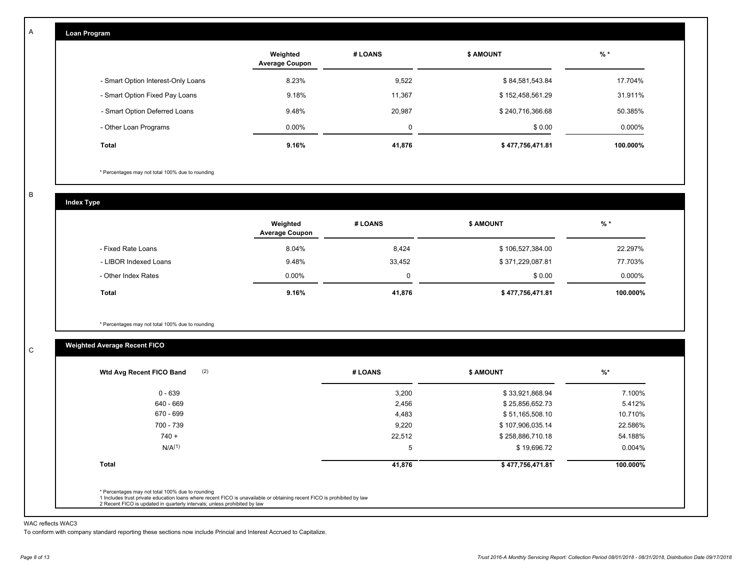| Loan Program                       |                                   |         |                  |           |
|------------------------------------|-----------------------------------|---------|------------------|-----------|
|                                    | Weighted<br><b>Average Coupon</b> | # LOANS | <b>\$ AMOUNT</b> | $%$ *     |
| - Smart Option Interest-Only Loans | 8.23%                             | 9,522   | \$84,581,543.84  | 17.704%   |
| - Smart Option Fixed Pay Loans     | 9.18%                             | 11,367  | \$152,458,561.29 | 31.911%   |
| - Smart Option Deferred Loans      | 9.48%                             | 20,987  | \$240,716,366.68 | 50.385%   |
| - Other Loan Programs              | $0.00\%$                          | 0       | \$0.00           | $0.000\%$ |
| Total                              | 9.16%                             | 41,876  | \$477,756,471.81 | 100.000%  |

\* Percentages may not total 100% due to rounding

B

C

A

**Index Type**

|                       | Weighted<br><b>Average Coupon</b> | # LOANS  | <b>S AMOUNT</b>  | $%$ *     |
|-----------------------|-----------------------------------|----------|------------------|-----------|
| - Fixed Rate Loans    | 8.04%                             | 8,424    | \$106,527,384.00 | 22.297%   |
| - LIBOR Indexed Loans | 9.48%                             | 33,452   | \$371,229,087.81 | 77.703%   |
| - Other Index Rates   | $0.00\%$                          | $\Omega$ | \$0.00           | $0.000\%$ |
| <b>Total</b>          | 9.16%                             | 41,876   | \$477,756,471.81 | 100.000%  |

\* Percentages may not total 100% due to rounding

# **Weighted Average Recent FICO**

| 3,200<br>2,456<br>4,483<br>9,220 | \$33,921,868.94<br>\$25,856,652.73<br>\$51,165,508.10 | 7.100%<br>5.412%<br>10.710% |
|----------------------------------|-------------------------------------------------------|-----------------------------|
|                                  |                                                       |                             |
|                                  |                                                       |                             |
|                                  |                                                       |                             |
|                                  | \$107,906,035.14                                      | 22.586%                     |
| 22,512                           | \$258,886,710.18                                      | 54.188%                     |
| 5                                | \$19,696.72                                           | 0.004%                      |
| 41,876                           | \$477,756,471.81                                      | 100.000%                    |
|                                  |                                                       |                             |

#### WAC reflects WAC3

To conform with company standard reporting these sections now include Princial and Interest Accrued to Capitalize.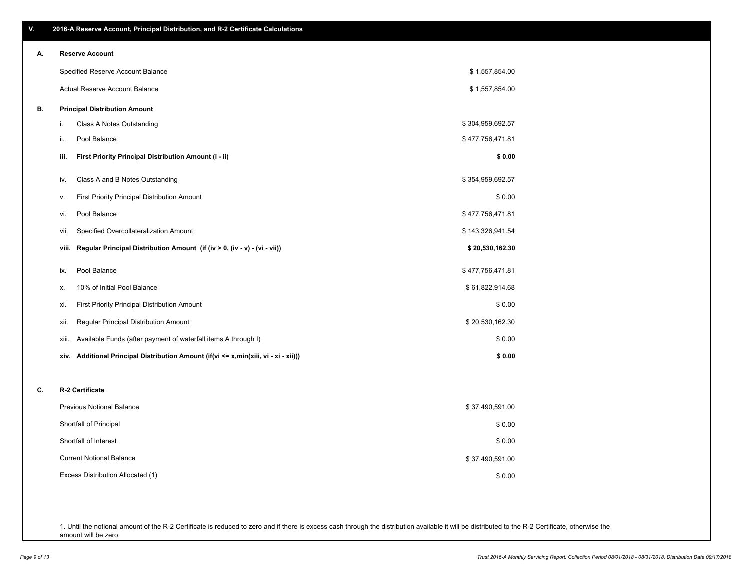\$ 0.00

\$ 37,490,591.00

| А. | <b>Reserve Account</b>                                                               |                  |
|----|--------------------------------------------------------------------------------------|------------------|
|    | Specified Reserve Account Balance                                                    | \$1,557,854.00   |
|    | <b>Actual Reserve Account Balance</b>                                                | \$1,557,854.00   |
| В. | <b>Principal Distribution Amount</b>                                                 |                  |
|    | Class A Notes Outstanding<br>i.                                                      | \$304,959,692.57 |
|    | Pool Balance<br>ii.                                                                  | \$477,756,471.81 |
|    | First Priority Principal Distribution Amount (i - ii)<br>iii.                        | \$0.00           |
|    | Class A and B Notes Outstanding<br>iv.                                               | \$354,959,692.57 |
|    | First Priority Principal Distribution Amount<br>۷.                                   | \$0.00           |
|    | Pool Balance<br>vi.                                                                  | \$477,756,471.81 |
|    | Specified Overcollateralization Amount<br>vii.                                       | \$143,326,941.54 |
|    | Regular Principal Distribution Amount (if (iv > 0, (iv - v) - (vi - vii))<br>viii.   | \$20,530,162.30  |
|    | Pool Balance<br>ix.                                                                  | \$477,756,471.81 |
|    | 10% of Initial Pool Balance<br>х.                                                    | \$61,822,914.68  |
|    | First Priority Principal Distribution Amount<br>xi.                                  | \$0.00           |
|    | Regular Principal Distribution Amount<br>xii.                                        | \$20,530,162.30  |
|    | Available Funds (after payment of waterfall items A through I)<br>xiii.              | \$0.00           |
|    | xiv. Additional Principal Distribution Amount (if(vi <= x,min(xiii, vi - xi - xii))) | \$0.00           |
| C. | R-2 Certificate                                                                      |                  |
|    | <b>Previous Notional Balance</b>                                                     | \$37,490,591.00  |
|    | Shortfall of Principal                                                               | \$0.00           |
|    | Shortfall of Interest                                                                | \$0.00           |

Excess Distribution Allocated (1)

Current Notional Balance

1. Until the notional amount of the R-2 Certificate is reduced to zero and if there is excess cash through the distribution available it will be distributed to the R-2 Certificate, otherwise the amount will be zero

# **V. 2016-A Reserve Account, Principal Distribution, and R-2 Certificate Calculations**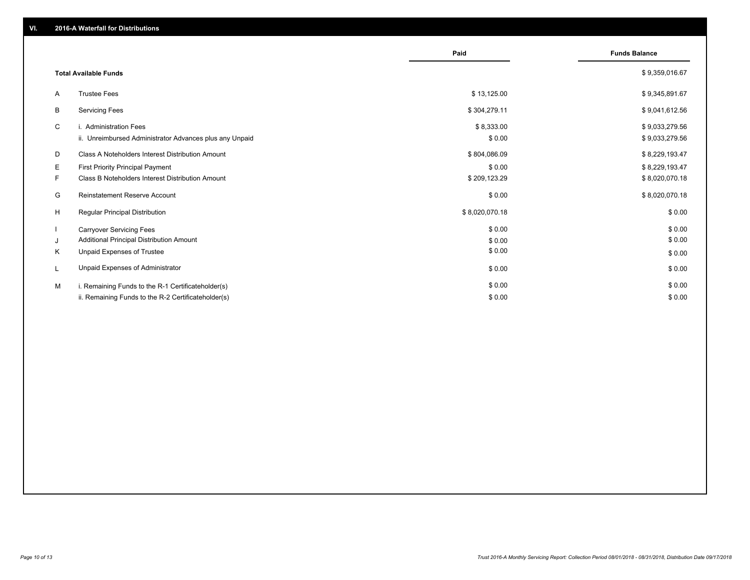|    |                                                         | Paid           | <b>Funds Balance</b> |
|----|---------------------------------------------------------|----------------|----------------------|
|    | <b>Total Available Funds</b>                            |                | \$9,359,016.67       |
| A  | <b>Trustee Fees</b>                                     | \$13,125.00    | \$9,345,891.67       |
| B  | <b>Servicing Fees</b>                                   | \$304,279.11   | \$9,041,612.56       |
| C  | i. Administration Fees                                  | \$8,333.00     | \$9,033,279.56       |
|    | ii. Unreimbursed Administrator Advances plus any Unpaid | \$0.00         | \$9,033,279.56       |
| D  | Class A Noteholders Interest Distribution Amount        | \$804,086.09   | \$8,229,193.47       |
| E. | First Priority Principal Payment                        | \$0.00         | \$8,229,193.47       |
| F  | Class B Noteholders Interest Distribution Amount        | \$209,123.29   | \$8,020,070.18       |
| G  | <b>Reinstatement Reserve Account</b>                    | \$0.00         | \$8,020,070.18       |
| H  | Regular Principal Distribution                          | \$8,020,070.18 | \$0.00               |
|    | <b>Carryover Servicing Fees</b>                         | \$0.00         | \$0.00               |
| J  | Additional Principal Distribution Amount                | \$0.00         | \$0.00               |
| K  | Unpaid Expenses of Trustee                              | \$0.00         | \$0.00               |
| L  | Unpaid Expenses of Administrator                        | \$0.00         | \$0.00               |
| M  | i. Remaining Funds to the R-1 Certificateholder(s)      | \$0.00         | \$0.00               |
|    | ii. Remaining Funds to the R-2 Certificateholder(s)     | \$0.00         | \$0.00               |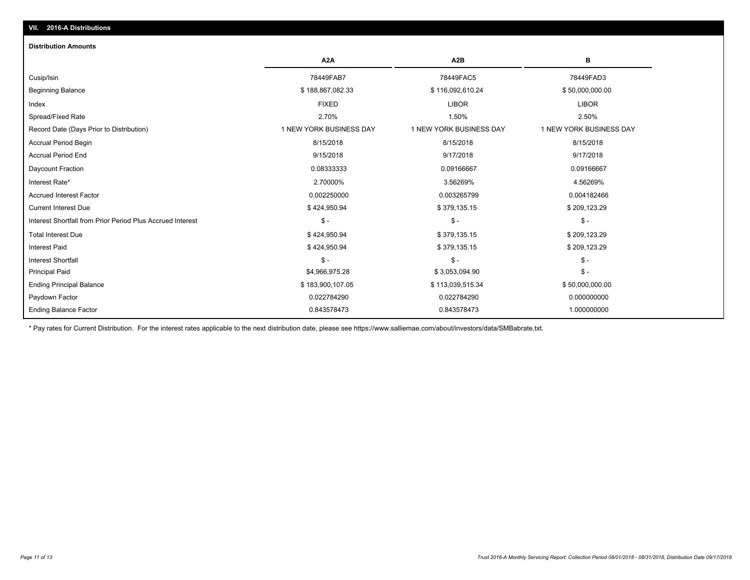# **VII. 2016-A Distributions**

#### **Distribution Amounts**

|                                                            | A <sub>2</sub> A        | A <sub>2</sub> B        | в                       |
|------------------------------------------------------------|-------------------------|-------------------------|-------------------------|
| Cusip/Isin                                                 | 78449FAB7               | 78449FAC5               | 78449FAD3               |
| <b>Beginning Balance</b>                                   | \$188,867,082.33        | \$116,092,610.24        | \$50,000,000.00         |
| Index                                                      | <b>FIXED</b>            | <b>LIBOR</b>            | <b>LIBOR</b>            |
| Spread/Fixed Rate                                          | 2.70%                   | 1.50%                   | 2.50%                   |
| Record Date (Days Prior to Distribution)                   | 1 NEW YORK BUSINESS DAY | 1 NEW YORK BUSINESS DAY | 1 NEW YORK BUSINESS DAY |
| <b>Accrual Period Begin</b>                                | 8/15/2018               | 8/15/2018               | 8/15/2018               |
| <b>Accrual Period End</b>                                  | 9/15/2018               | 9/17/2018               | 9/17/2018               |
| Daycount Fraction                                          | 0.08333333              | 0.09166667              | 0.09166667              |
| Interest Rate*                                             | 2.70000%                | 3.56269%                | 4.56269%                |
| <b>Accrued Interest Factor</b>                             | 0.002250000             | 0.003265799             | 0.004182466             |
| <b>Current Interest Due</b>                                | \$424,950.94            | \$379,135.15            | \$209,123.29            |
| Interest Shortfall from Prior Period Plus Accrued Interest | $\mathsf{\$}$ -         | $\mathsf{\$}$ -         | $$ -$                   |
| <b>Total Interest Due</b>                                  | \$424,950.94            | \$379,135.15            | \$209,123.29            |
| <b>Interest Paid</b>                                       | \$424,950.94            | \$379,135.15            | \$209,123.29            |
| <b>Interest Shortfall</b>                                  | $\mathbb{S}$ -          | $\mathsf{\$}$ -         | $$ -$                   |
| <b>Principal Paid</b>                                      | \$4,966,975.28          | \$3,053,094.90          | $$ -$                   |
| <b>Ending Principal Balance</b>                            | \$183,900,107.05        | \$113,039,515.34        | \$50,000,000.00         |
| Paydown Factor                                             | 0.022784290             | 0.022784290             | 0.000000000             |
| <b>Ending Balance Factor</b>                               | 0.843578473             | 0.843578473             | 1.000000000             |

\* Pay rates for Current Distribution. For the interest rates applicable to the next distribution date, please see https://www.salliemae.com/about/investors/data/SMBabrate.txt.